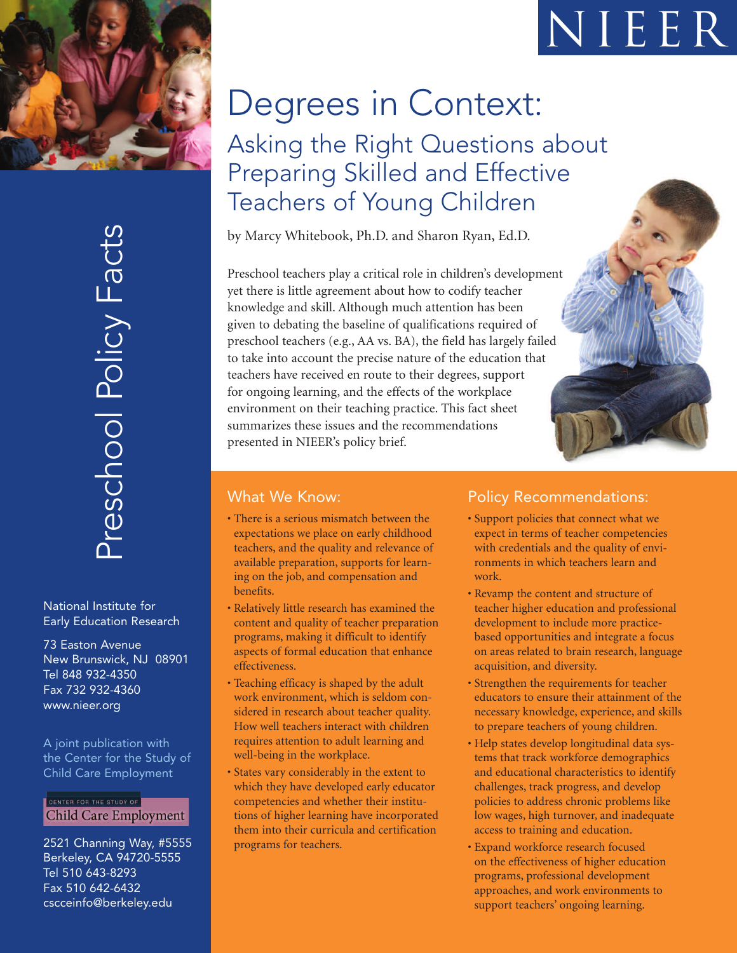

 $\mathsf{\Omega}_ \overline{\phantom{0}}$  $\overline{\mathrm{O}}$  $\mathsf{C}$  $\bigcup$  $\Gamma$ o ol Polic  $\gt$  $\Box$  $\boldsymbol{\varpi}$  $\bigcup$  $\overline{\phantom{a}}$  ${\mathcal{O}}$ 

National Institute for Early Education Research

73 Easton Avenue New Brunswick, NJ 08901 Tel 848 932-4350 Fax 732 932-4360 www.nieer.org

A joint publication with the Center for the Study of Child Care Employment

CENTER FOR THE STUDY OF **Child Care Employment** 

2521 Channing Way, #5555 Berkeley, CA 94720-5555 Tel 510 643-8293 Fax 510 642-6432 cscceinfo@berkeley.edu

# Degrees in Context: Asking the Right Questions about Preparing Skilled and Effective Teachers of Young Children

by Marcy Whitebook, Ph.D. and Sharon Ryan, Ed.D.

Preschool teachers play a critical role in children's development yet there is little agreement about how to codify teacher knowledge and skill. Although much attention has been given to debating the baseline of qualifications required of preschool teachers (e.g., AA vs. BA), the field has largely failed to take into account the precise nature of the education that teachers have received en route to their degrees, support for ongoing learning, and the effects of the workplace environment on their teaching practice. This fact sheet summarizes these issues and the recommendations presented in NIEER's policy brief.

### What We Know:

- There is a serious mismatch between the expectations we place on early childhood teachers, and the quality and relevance of available preparation, supports for learning on the job, and compensation and benefits.
- Relatively little research has examined the content and quality of teacher preparation programs, making it difficult to identify aspects of formal education that enhance effectiveness.
- Teaching efficacy is shaped by the adult work environment, which is seldom considered in research about teacher quality. How well teachers interact with children requires attention to adult learning and well-being in the workplace.
- States vary considerably in the extent to which they have developed early educator competencies and whether their institutions of higher learning have incorporated them into their curricula and certification programs for teachers.

## Policy Recommendations:

- Support policies that connect what we expect in terms of teacher competencies with credentials and the quality of environments in which teachers learn and work.
- Revamp the content and structure of teacher higher education and professional development to include more practicebased opportunities and integrate a focus on areas related to brain research, language acquisition, and diversity.
- Strengthen the requirements for teacher educators to ensure their attainment of the necessary knowledge, experience, and skills to prepare teachers of young children.
- Help states develop longitudinal data systems that track workforce demographics and educational characteristics to identify challenges, track progress, and develop policies to address chronic problems like low wages, high turnover, and inadequate access to training and education.
- Expand workforce research focused on the effectiveness of higher education programs, professional development approaches, and work environments to support teachers' ongoing learning.

# NIEER